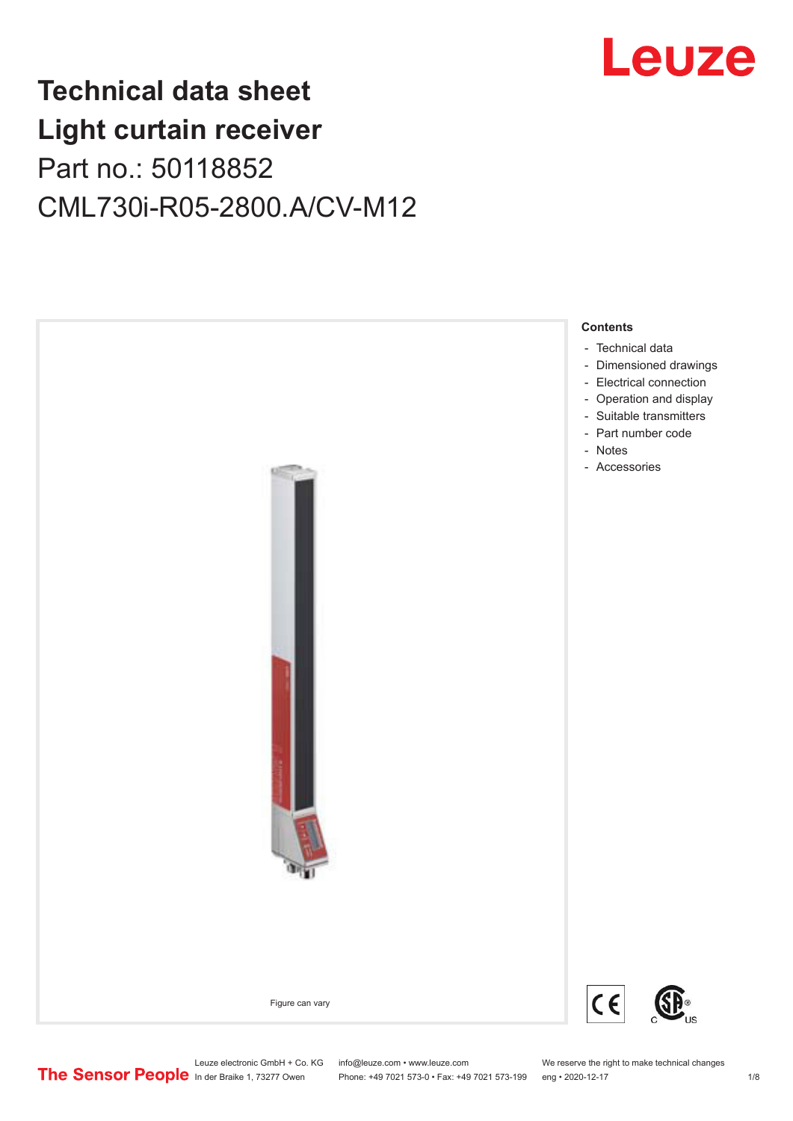

## **Technical data sheet Light curtain receiver** Part no.: 50118852 CML730i-R05-2800.A/CV-M12



Leuze electronic GmbH + Co. KG info@leuze.com • www.leuze.com We reserve the right to make technical changes<br>
The Sensor People in der Braike 1, 73277 Owen Phone: +49 7021 573-0 • Fax: +49 7021 573-199 eng • 2020-12-17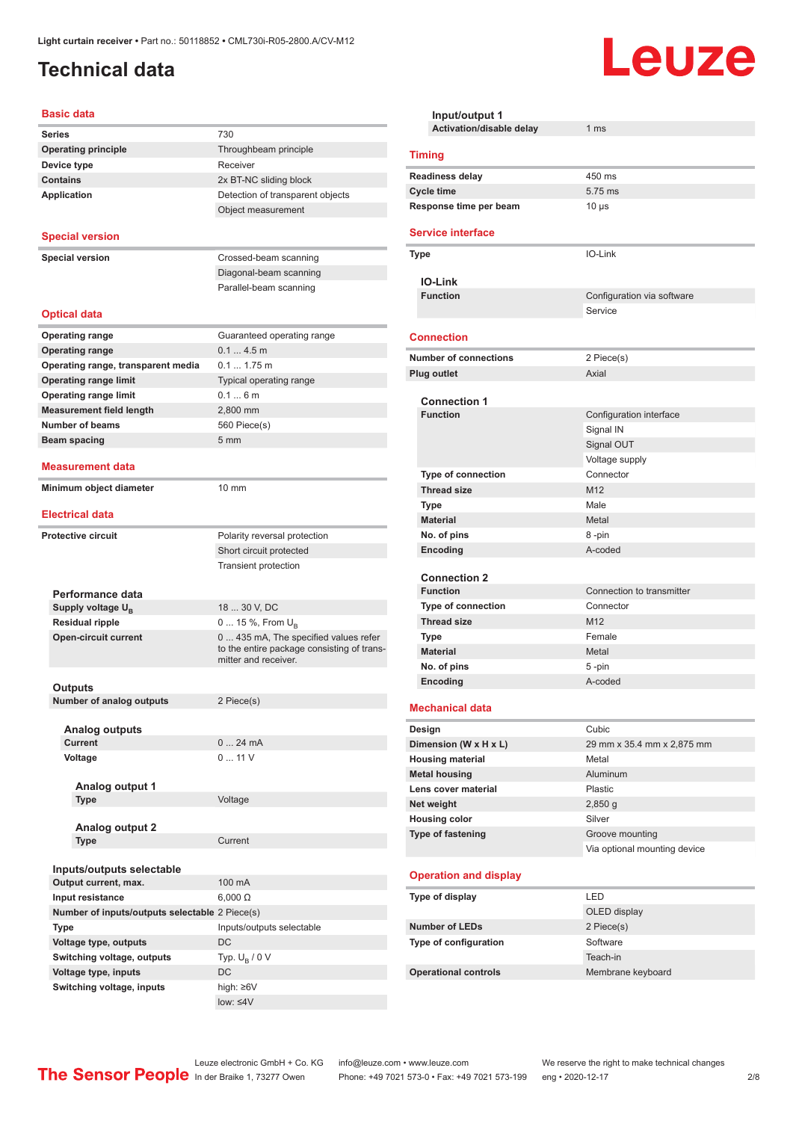## <span id="page-1-0"></span>**Technical data**

#### **Basic data**

| Series                                         | 730                                                                |
|------------------------------------------------|--------------------------------------------------------------------|
| <b>Operating principle</b>                     | Throughbeam principle                                              |
| Device type                                    | Receiver                                                           |
| <b>Contains</b>                                | 2x BT-NC sliding block                                             |
| <b>Application</b>                             | Detection of transparent objects                                   |
|                                                | Object measurement                                                 |
|                                                |                                                                    |
| <b>Special version</b>                         |                                                                    |
|                                                | Crossed-beam scanning                                              |
| <b>Special version</b>                         |                                                                    |
|                                                | Diagonal-beam scanning                                             |
|                                                | Parallel-beam scanning                                             |
| <b>Optical data</b>                            |                                                                    |
|                                                |                                                                    |
| <b>Operating range</b>                         | Guaranteed operating range                                         |
| <b>Operating range</b>                         | $0.14.5$ m                                                         |
| Operating range, transparent media             | 0.1 1.75 m                                                         |
| <b>Operating range limit</b>                   | Typical operating range                                            |
| <b>Operating range limit</b>                   | 0.16m                                                              |
| <b>Measurement field length</b>                | 2.800 mm                                                           |
| <b>Number of beams</b>                         | 560 Piece(s)                                                       |
| Beam spacing                                   | 5 <sub>mm</sub>                                                    |
|                                                |                                                                    |
| Measurement data                               |                                                                    |
| Minimum object diameter                        | 10 mm                                                              |
| <b>Electrical data</b>                         |                                                                    |
|                                                |                                                                    |
| <b>Protective circuit</b>                      | Polarity reversal protection                                       |
|                                                | Short circuit protected                                            |
|                                                | <b>Transient protection</b>                                        |
|                                                |                                                                    |
| Performance data                               |                                                                    |
| Supply voltage $U_{\rm B}$                     | 18  30 V, DC                                                       |
| <b>Residual ripple</b>                         | 0  15 %, From $U_{\rm B}$                                          |
| <b>Open-circuit current</b>                    | 0  435 mA, The specified values refer                              |
|                                                | to the entire package consisting of trans-<br>mitter and receiver. |
|                                                |                                                                    |
| Outputs                                        |                                                                    |
| <b>Number of analog outputs</b>                | 2 Piece(s)                                                         |
|                                                |                                                                    |
| <b>Analog outputs</b>                          |                                                                    |
| <b>Current</b>                                 | 024mA                                                              |
| Voltage                                        | 011V                                                               |
|                                                |                                                                    |
| Analog output 1                                |                                                                    |
| <b>Type</b>                                    | Voltage                                                            |
| Analog output 2                                |                                                                    |
| <b>Type</b>                                    | Current                                                            |
|                                                |                                                                    |
| Inputs/outputs selectable                      |                                                                    |
| Output current, max.                           | 100 mA                                                             |
| Input resistance                               | $6,000 \Omega$                                                     |
| Number of inputs/outputs selectable 2 Piece(s) |                                                                    |
| <b>Type</b>                                    | Inputs/outputs selectable                                          |
|                                                | DC                                                                 |
| Voltage type, outputs                          |                                                                    |
| Switching voltage, outputs                     | Typ. $U_R / 0 V$                                                   |
| Voltage type, inputs                           | DC                                                                 |
| Switching voltage, inputs                      | high: $\geq 6V$                                                    |

| Input/output 1<br>Activation/disable delay      | 1 <sub>ms</sub>              |
|-------------------------------------------------|------------------------------|
|                                                 |                              |
| <b>Timing</b>                                   |                              |
| <b>Readiness delay</b>                          | 450 ms                       |
| <b>Cycle time</b>                               | 5.75 ms                      |
| Response time per beam                          | 10 <sub>µ</sub> s            |
| <b>Service interface</b>                        |                              |
| Type                                            | IO-Link                      |
| <b>IO-Link</b>                                  |                              |
| <b>Function</b>                                 | Configuration via software   |
|                                                 | Service                      |
| <b>Connection</b>                               |                              |
| <b>Number of connections</b>                    | 2 Piece(s)                   |
| Plug outlet                                     | Axial                        |
|                                                 |                              |
| <b>Connection 1</b><br><b>Function</b>          |                              |
|                                                 | Configuration interface      |
|                                                 | Signal IN<br>Signal OUT      |
|                                                 | Voltage supply               |
| <b>Type of connection</b>                       | Connector                    |
| <b>Thread size</b>                              | M <sub>12</sub>              |
| <b>Type</b>                                     | Male                         |
| <b>Material</b>                                 | Metal                        |
| No. of pins                                     | 8-pin                        |
| Encoding                                        | A-coded                      |
|                                                 |                              |
| <b>Connection 2</b>                             |                              |
| <b>Function</b>                                 | Connection to transmitter    |
| <b>Type of connection</b><br><b>Thread size</b> | Connector<br>M <sub>12</sub> |
| <b>Type</b>                                     | Female                       |
| <b>Material</b>                                 | Metal                        |
| No. of pins                                     | 5-pin                        |
| Encoding                                        | A-coded                      |
|                                                 |                              |
| <b>Mechanical data</b>                          |                              |
| Design                                          | Cubic                        |
| Dimension (W x H x L)                           | 29 mm x 35.4 mm x 2,875 mm   |
| <b>Housing material</b>                         | Metal                        |
| <b>Metal housing</b>                            | Aluminum                     |
| Lens cover material                             | Plastic                      |
| Net weight                                      | $2,850$ g<br>Silver          |
| <b>Housing color</b><br>Type of fastening       | Groove mounting              |
|                                                 | Via optional mounting device |
| <b>Operation and display</b>                    |                              |
| Type of display                                 | LED                          |
|                                                 | OLED display                 |
| <b>Number of LEDs</b>                           | 2 Piece(s)                   |
| Type of configuration                           | Software                     |
|                                                 | Teach-in                     |
| <b>Operational controls</b>                     | Membrane keyboard            |

Leuze

low: ≤4V

Leuze electronic GmbH + Co. KG info@leuze.com • www.leuze.com We reserve the right to make technical changes

ln der Braike 1, 73277 Owen Phone: +49 7021 573-0 • Fax: +49 7021 573-199 eng • 2020-12-17 2/8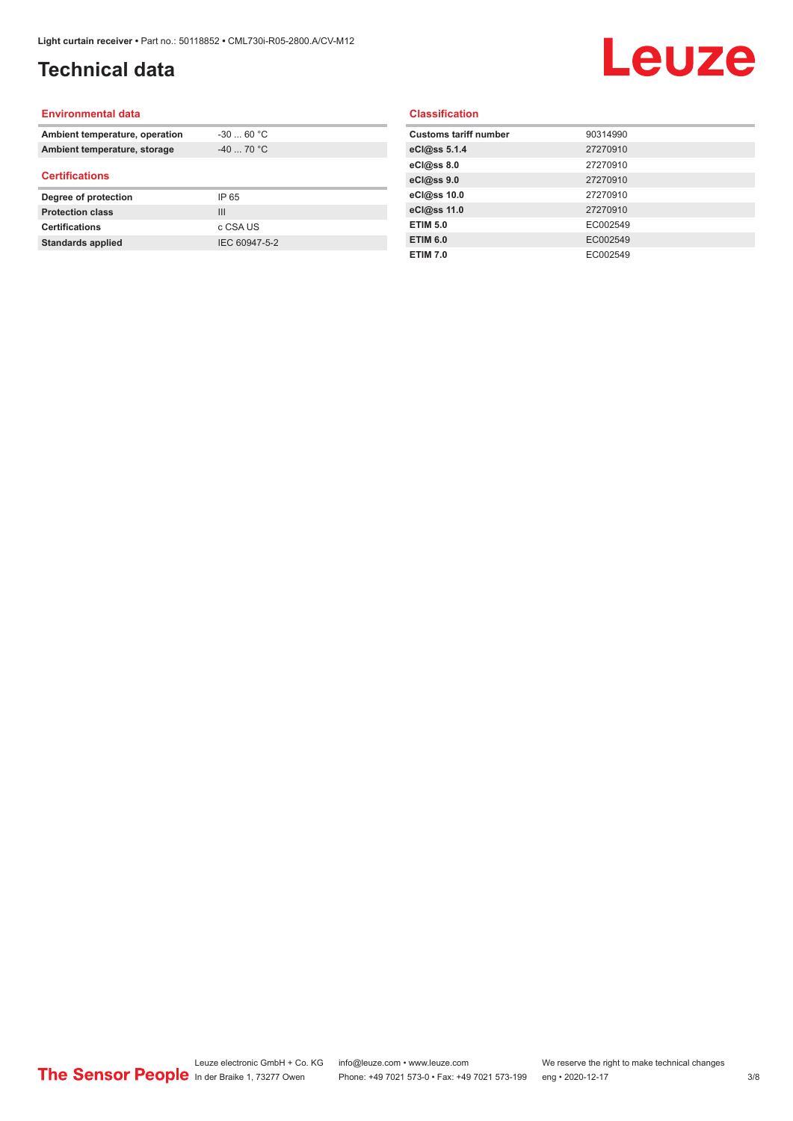## **Technical data**

# Leuze

#### **Environmental data**

| Ambient temperature, operation | $-3060 °C$     |
|--------------------------------|----------------|
| Ambient temperature, storage   | $-40$ 70 °C    |
| <b>Certifications</b>          |                |
|                                |                |
| Degree of protection           | IP 65          |
| <b>Protection class</b>        | $\mathbf{III}$ |
| <b>Certifications</b>          | c CSA US       |

#### **Classification**

| <b>Customs tariff number</b> | 90314990 |
|------------------------------|----------|
| eCl@ss 5.1.4                 | 27270910 |
| eCl@ss 8.0                   | 27270910 |
| eCl@ss 9.0                   | 27270910 |
| eCl@ss 10.0                  | 27270910 |
| eCl@ss 11.0                  | 27270910 |
| <b>ETIM 5.0</b>              | EC002549 |
| <b>ETIM 6.0</b>              | EC002549 |
| <b>ETIM 7.0</b>              | EC002549 |
|                              |          |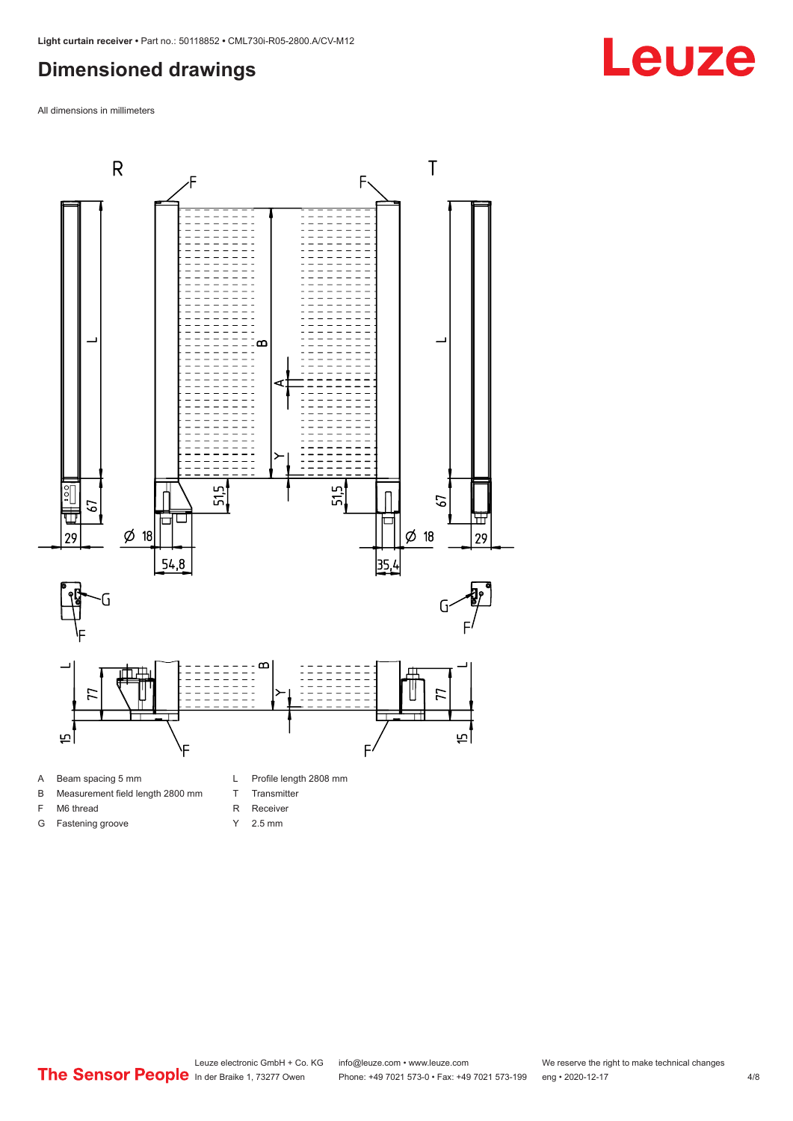### <span id="page-3-0"></span>**Dimensioned drawings**

All dimensions in millimeters



A Beam spacing 5 mm

G Fastening groove

- B Measurement field length 2800 mm
- F M6 thread
- R Receiver
	- Y 2.5 mm

T Transmitter

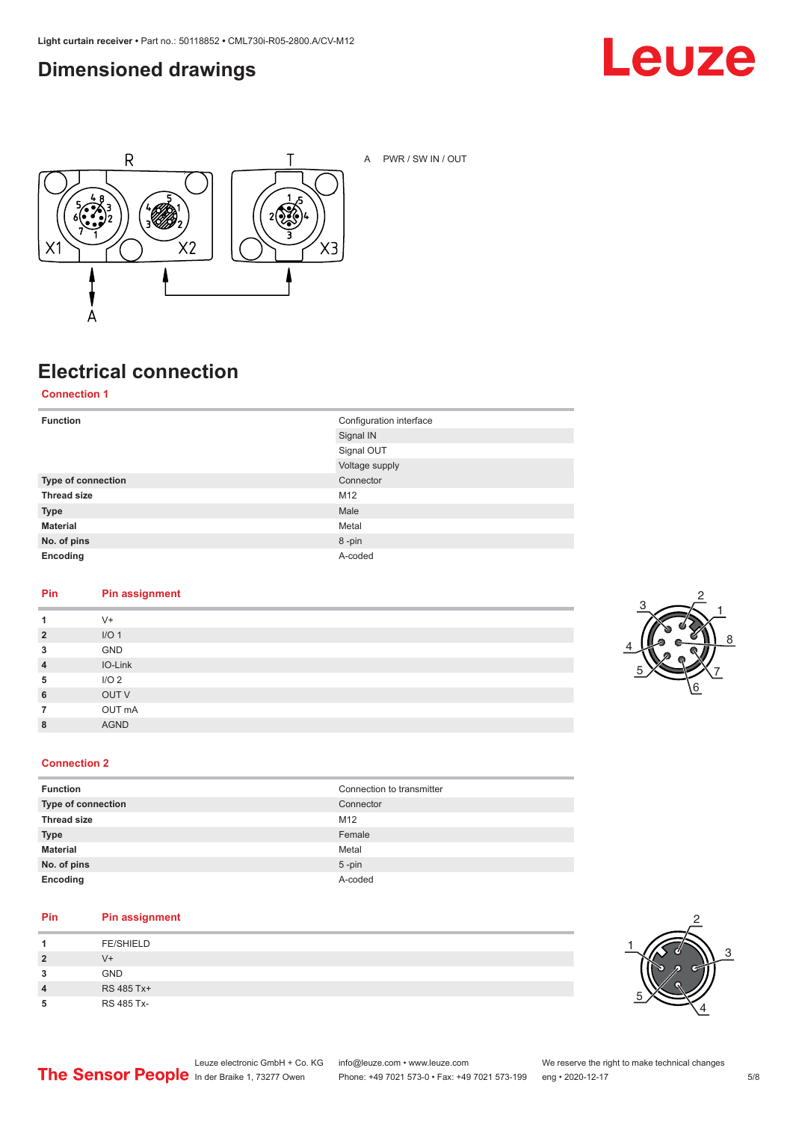### <span id="page-4-0"></span>**Dimensioned drawings**





A PWR / SW IN / OUT

## **Electrical connection**

**Connection 1**

| <b>Function</b>    | Configuration interface |
|--------------------|-------------------------|
|                    | Signal IN               |
|                    | Signal OUT              |
|                    | Voltage supply          |
| Type of connection | Connector               |
| <b>Thread size</b> | M12                     |
| <b>Type</b>        | Male                    |
| <b>Material</b>    | Metal                   |
| No. of pins        | 8-pin                   |
| Encoding           | A-coded                 |

#### **Pin Pin assignment**

| 1              | $V +$            |
|----------------|------------------|
| $\overline{2}$ | I/O <sub>1</sub> |
| 3              | GND              |
| $\overline{4}$ | IO-Link          |
| 5              | I/O <sub>2</sub> |
| 6              | OUT V            |
| $\overline{7}$ | OUT mA           |
| 8              | <b>AGND</b>      |
|                |                  |

![](_page_4_Picture_10.jpeg)

#### **Connection 2**

| <b>Function</b>    | Connection to transmitter |
|--------------------|---------------------------|
| Type of connection | Connector                 |
| <b>Thread size</b> | M12                       |
| <b>Type</b>        | Female                    |
| <b>Material</b>    | Metal                     |
| No. of pins        | $5$ -pin                  |
| Encoding           | A-coded                   |

#### **Pin Pin assignment**

| л              | <b>FE/SHIELD</b> |
|----------------|------------------|
| $\overline{2}$ | V+               |
| 3              | <b>GND</b>       |
| 4              | RS 485 Tx+       |
| 5              | RS 485 Tx-       |

![](_page_4_Picture_15.jpeg)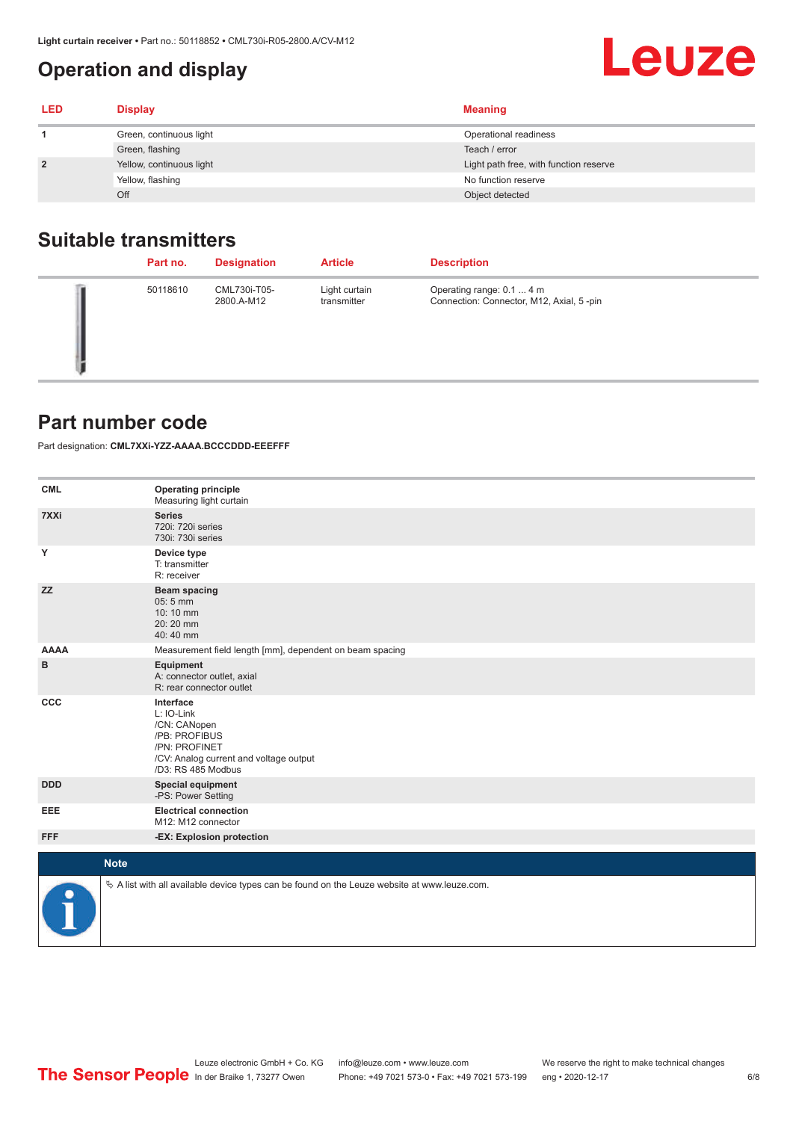## <span id="page-5-0"></span>**Operation and display**

| <b>LED</b> | <b>Display</b>           | <b>Meaning</b>                         |
|------------|--------------------------|----------------------------------------|
|            | Green, continuous light  | Operational readiness                  |
|            | Green, flashing          | Teach / error                          |
|            | Yellow, continuous light | Light path free, with function reserve |
|            | Yellow, flashing         | No function reserve                    |
|            | Off                      | Object detected                        |

#### **Suitable transmitters**

| Part no. | <b>Designation</b>         | <b>Article</b>               | <b>Description</b>                                                    |
|----------|----------------------------|------------------------------|-----------------------------------------------------------------------|
| 50118610 | CML730i-T05-<br>2800.A-M12 | Light curtain<br>transmitter | Operating range: 0.1  4 m<br>Connection: Connector, M12, Axial, 5-pin |

#### **Part number code**

Part designation: **CML7XXi-YZZ-AAAA.BCCCDDD-EEEFFF**

| <b>CML</b>           | <b>Operating principle</b><br>Measuring light curtain                                                                                     |
|----------------------|-------------------------------------------------------------------------------------------------------------------------------------------|
| 7XXi                 | <b>Series</b><br>720i: 720i series<br>730i: 730i series                                                                                   |
| Y                    | Device type<br>T: transmitter<br>R: receiver                                                                                              |
| <b>ZZ</b>            | <b>Beam spacing</b><br>05:5 mm<br>10:10 mm<br>20:20 mm<br>40:40 mm                                                                        |
| <b>AAAA</b>          | Measurement field length [mm], dependent on beam spacing                                                                                  |
| в                    | Equipment<br>A: connector outlet, axial<br>R: rear connector outlet                                                                       |
| CCC                  | Interface<br>L: IO-Link<br>/CN: CANopen<br>/PB: PROFIBUS<br>/PN: PROFINET<br>/CV: Analog current and voltage output<br>/D3: RS 485 Modbus |
| <b>DDD</b>           | <b>Special equipment</b><br>-PS: Power Setting                                                                                            |
| <b>EEE</b>           | <b>Electrical connection</b><br>M12: M12 connector                                                                                        |
| <b>FFF</b>           | -EX: Explosion protection                                                                                                                 |
| <b>Note</b>          |                                                                                                                                           |
|                      |                                                                                                                                           |
| $\ddot{\phantom{a}}$ | $\&$ A list with all available device types can be found on the Leuze website at www.leuze.com.                                           |

Leuze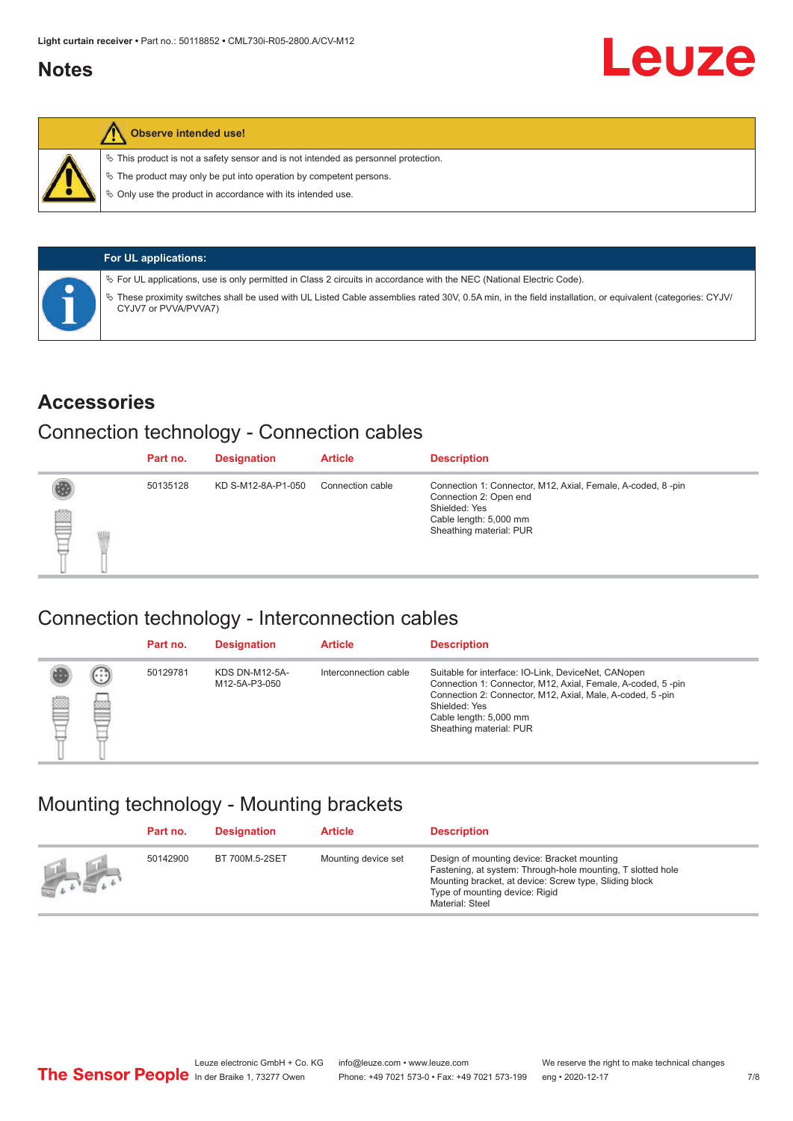#### <span id="page-6-0"></span>**Notes**

![](_page_6_Picture_2.jpeg)

#### **Observe intended use!**

 $\%$  This product is not a safety sensor and is not intended as personnel protection.

 $\%$  The product may only be put into operation by competent persons.

 $\%$  Only use the product in accordance with its intended use.

| <b>For UL applications:</b>                                                                                                                                                       |
|-----------------------------------------------------------------------------------------------------------------------------------------------------------------------------------|
| $\%$ For UL applications, use is only permitted in Class 2 circuits in accordance with the NEC (National Electric Code).                                                          |
| V These proximity switches shall be used with UL Listed Cable assemblies rated 30V, 0.5A min, in the field installation, or equivalent (categories: CYJV/<br>CYJV7 or PVVA/PVVA7) |

#### **Accessories**

#### Connection technology - Connection cables

|   | Part no. | <b>Designation</b> | <b>Article</b>   | <b>Description</b>                                                                                                                                          |
|---|----------|--------------------|------------------|-------------------------------------------------------------------------------------------------------------------------------------------------------------|
| § | 50135128 | KD S-M12-8A-P1-050 | Connection cable | Connection 1: Connector, M12, Axial, Female, A-coded, 8-pin<br>Connection 2: Open end<br>Shielded: Yes<br>Cable length: 5,000 mm<br>Sheathing material: PUR |

#### Connection technology - Interconnection cables

|   |                   | Part no. | <b>Designation</b>                     | <b>Article</b>        | <b>Description</b>                                                                                                                                                                                                                                    |
|---|-------------------|----------|----------------------------------------|-----------------------|-------------------------------------------------------------------------------------------------------------------------------------------------------------------------------------------------------------------------------------------------------|
| e | $(\cdot$ : :<br>b | 50129781 | <b>KDS DN-M12-5A-</b><br>M12-5A-P3-050 | Interconnection cable | Suitable for interface: IO-Link, DeviceNet, CANopen<br>Connection 1: Connector, M12, Axial, Female, A-coded, 5-pin<br>Connection 2: Connector, M12, Axial, Male, A-coded, 5-pin<br>Shielded: Yes<br>Cable length: 5,000 mm<br>Sheathing material: PUR |

#### Mounting technology - Mounting brackets

|               | Part no. | <b>Designation</b> | <b>Article</b>      | <b>Description</b>                                                                                                                                                                                                        |
|---------------|----------|--------------------|---------------------|---------------------------------------------------------------------------------------------------------------------------------------------------------------------------------------------------------------------------|
| <b>Altres</b> | 50142900 | BT 700M.5-2SET     | Mounting device set | Design of mounting device: Bracket mounting<br>Fastening, at system: Through-hole mounting, T slotted hole<br>Mounting bracket, at device: Screw type, Sliding block<br>Type of mounting device: Rigid<br>Material: Steel |

Leuze